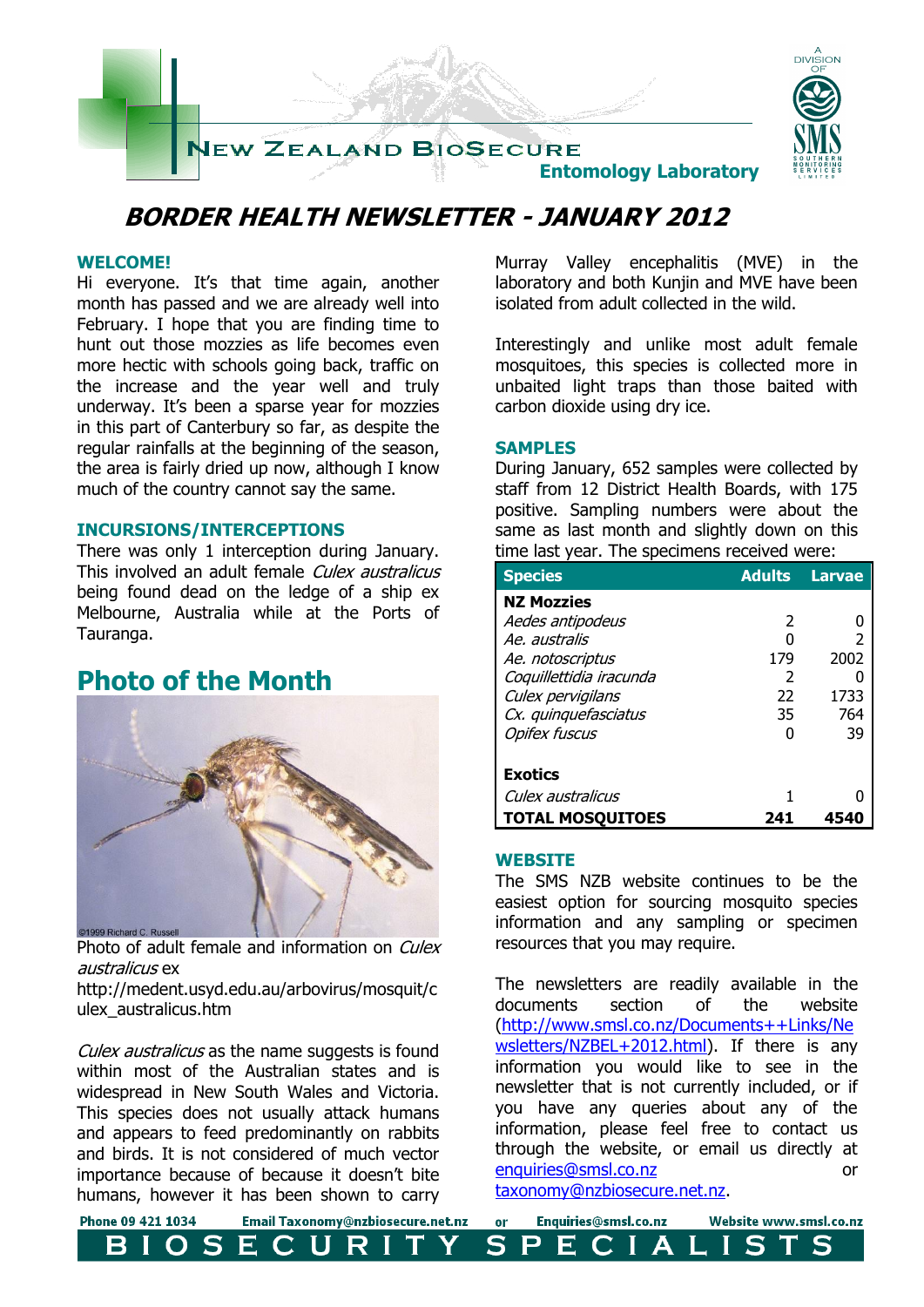

## **BORDER HEALTH NEWSLETTER - JANUARY 2012**

#### **WELCOME!**

Hi everyone. It's that time again, another month has passed and we are already well into February. I hope that you are finding time to hunt out those mozzies as life becomes even more hectic with schools going back, traffic on the increase and the year well and truly underway. It's been a sparse year for mozzies in this part of Canterbury so far, as despite the regular rainfalls at the beginning of the season, the area is fairly dried up now, although I know much of the country cannot say the same.

#### **INCURSIONS/INTERCEPTIONS**

There was only 1 interception during January. This involved an adult female *Culex australicus* being found dead on the ledge of a ship ex Melbourne, Australia while at the Ports of Tauranga.

### **Photo of the Month**



Photo of adult female and information on Culex australicus ex

http://medent.usyd.edu.au/arbovirus/mosquit/c ulex\_australicus.htm

Culex australicus as the name suggests is found within most of the Australian states and is widespread in New South Wales and Victoria. This species does not usually attack humans and appears to feed predominantly on rabbits and birds. It is not considered of much vector importance because of because it doesn't bite humans, however it has been shown to carry

Е

Email Taxonomy@nzbiosecure.net.nz

 $\mathbf{U}$  R

Phone 09 421 1034

BIOS

Murray Valley encephalitis (MVE) in the laboratory and both Kunjin and MVE have been isolated from adult collected in the wild.

Interestingly and unlike most adult female mosquitoes, this species is collected more in unbaited light traps than those baited with carbon dioxide using dry ice.

#### **SAMPLES**

During January, 652 samples were collected by staff from 12 District Health Boards, with 175 positive. Sampling numbers were about the same as last month and slightly down on this time last year. The specimens received were:

| <b>Species</b>          | <b>Adults</b> | Larvae |
|-------------------------|---------------|--------|
| <b>NZ Mozzies</b>       |               |        |
| Aedes antipodeus        | 2             |        |
| Ae, australis           |               |        |
| Ae. notoscriptus        | 179           | 2002   |
| Coquillettidia iracunda | 2             |        |
| Culex pervigilans       | 22            | 1733   |
| Cx. quinquefasciatus    | 35            | 764    |
| <b>Opifex fuscus</b>    |               | 39     |
| <b>Exotics</b>          |               |        |
| Culex australicus       |               |        |
| <b>TOTAL MOSQUITOES</b> | 241           | 454    |

#### **WEBSITE**

or

S

P

The SMS NZB website continues to be the easiest option for sourcing mosquito species information and any sampling or specimen resources that you may require.

The newsletters are readily available in the documents section of the website [\(http://www.smsl.co.nz/Documents++Links/Ne](http://www.smsl.co.nz/Documents++Links/Newsletters/NZBEL+2012.html) [wsletters/NZBEL+2012.html\)](http://www.smsl.co.nz/Documents++Links/Newsletters/NZBEL+2012.html). If there is any information you would like to see in the newsletter that is not currently included, or if you have any queries about any of the information, please feel free to contact us through the website, or email us directly at [enquiries@smsl.co.nz](mailto:enquiries@smsl.co.nz) or [taxonomy@nzbiosecure.net.nz.](mailto:taxonomy@nzbiosecure.net.nz)

L

Enquiries@smsl.co.nz

 $\mathbf C$ 

Ш **A** 

E.

Website www.smsl.co.nz

S

 $\mathbf S$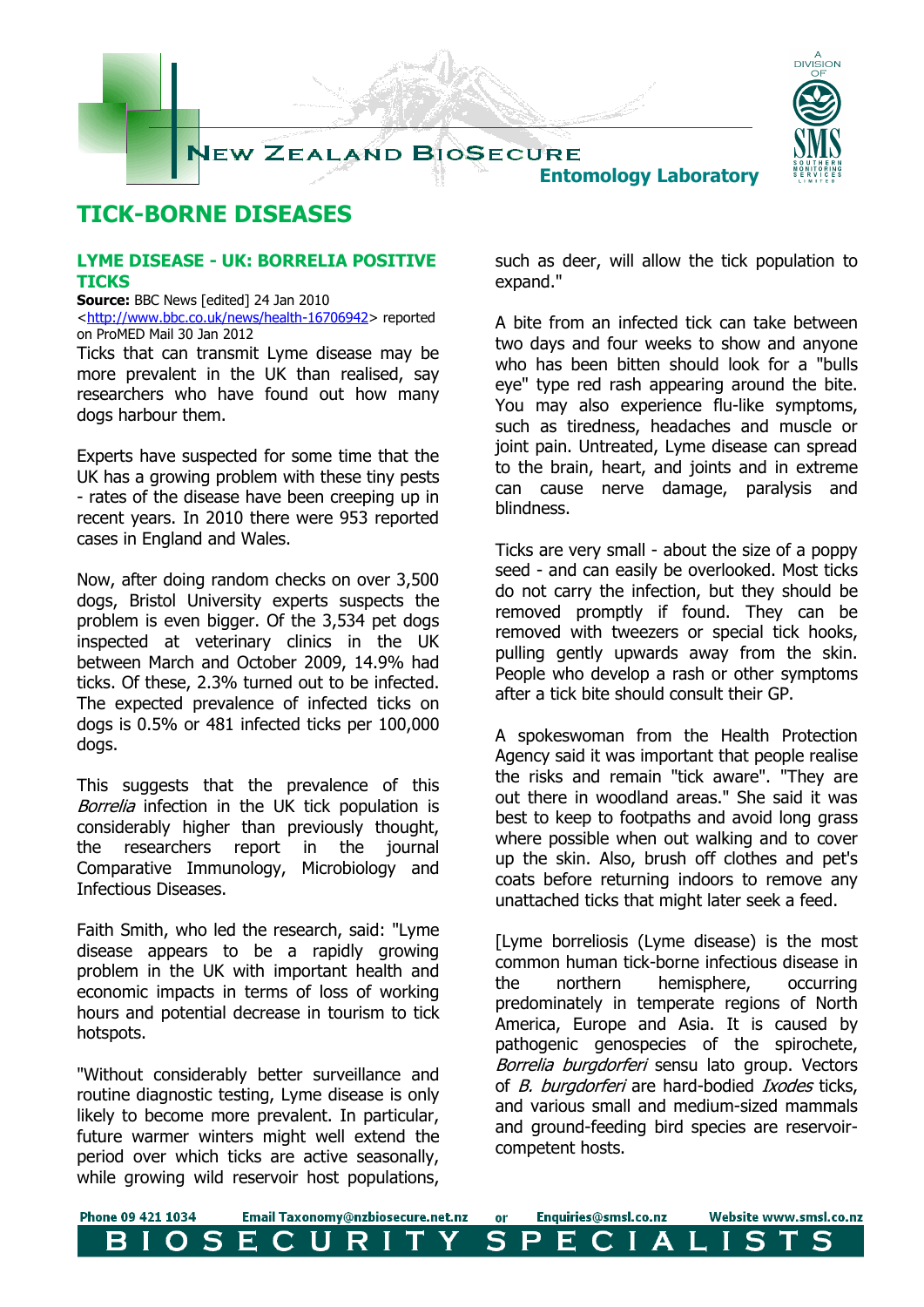

## **TICK-BORNE DISEASES**

#### **LYME DISEASE - UK: BORRELIA POSITIVE TICKS**

**Source:** BBC News [edited] 24 Jan 2010 [<http://www.bbc.co.uk/news/health-16706942>](http://www.bbc.co.uk/news/health-16706942) reported on ProMED Mail 30 Jan 2012

Ticks that can transmit Lyme disease may be more prevalent in the UK than realised, say researchers who have found out how many dogs harbour them.

Experts have suspected for some time that the UK has a growing problem with these tiny pests - rates of the disease have been creeping up in recent years. In 2010 there were 953 reported cases in England and Wales.

Now, after doing random checks on over 3,500 dogs, Bristol University experts suspects the problem is even bigger. Of the 3,534 pet dogs inspected at veterinary clinics in the UK between March and October 2009, 14.9% had ticks. Of these, 2.3% turned out to be infected. The expected prevalence of infected ticks on dogs is 0.5% or 481 infected ticks per 100,000 dogs.

This suggests that the prevalence of this Borrelia infection in the UK tick population is considerably higher than previously thought, the researchers report in the journal Comparative Immunology, Microbiology and Infectious Diseases.

Faith Smith, who led the research, said: "Lyme disease appears to be a rapidly growing problem in the UK with important health and economic impacts in terms of loss of working hours and potential decrease in tourism to tick hotspots.

"Without considerably better surveillance and routine diagnostic testing, Lyme disease is only likely to become more prevalent. In particular, future warmer winters might well extend the period over which ticks are active seasonally, while growing wild reservoir host populations,

Email Taxonomy@nzbiosecure.net.nz

ECURI

Phone 09 421 1034

BIOS

such as deer, will allow the tick population to expand."

A bite from an infected tick can take between two days and four weeks to show and anyone who has been bitten should look for a "bulls eye" type red rash appearing around the bite. You may also experience flu-like symptoms, such as tiredness, headaches and muscle or joint pain. Untreated, Lyme disease can spread to the brain, heart, and joints and in extreme can cause nerve damage, paralysis and blindness.

Ticks are very small - about the size of a poppy seed - and can easily be overlooked. Most ticks do not carry the infection, but they should be removed promptly if found. They can be removed with tweezers or special tick hooks, pulling gently upwards away from the skin. People who develop a rash or other symptoms after a tick bite should consult their GP.

A spokeswoman from the Health Protection Agency said it was important that people realise the risks and remain "tick aware". "They are out there in woodland areas." She said it was best to keep to footpaths and avoid long grass where possible when out walking and to cover up the skin. Also, brush off clothes and pet's coats before returning indoors to remove any unattached ticks that might later seek a feed.

[Lyme borreliosis (Lyme disease) is the most common human tick-borne infectious disease in the northern hemisphere, occurring predominately in temperate regions of North America, Europe and Asia. It is caused by pathogenic genospecies of the spirochete, Borrelia burgdorferi sensu lato group. Vectors of B. burgdorferi are hard-bodied Ixodes ticks, and various small and medium-sized mammals and ground-feeding bird species are reservoircompetent hosts.

Website www.smsl.co.nz

'S

Ш

Enquiries@smsl.co.nz

**A** 

ECI

or

 $\mathbf{P}$ 

 $\mathbf S$